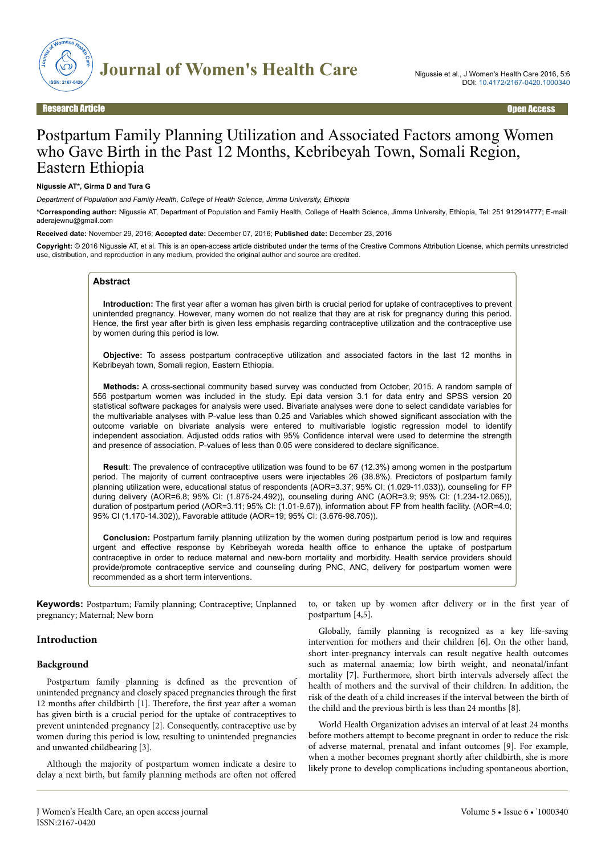

# Postpartum Family Planning Utilization and Associated Factors among Women who Gave Birth in the Past 12 Months, Kebribeyah Town, Somali Region, Eastern Ethiopia

#### **Nigussie AT\*, Girma D and Tura G**

*Department of Population and Family Health, College of Health Science, Jimma University, Ethiopia*

**\*Corresponding author:** Nigussie AT, Department of Population and Family Health, College of Health Science, Jimma University, Ethiopia, Tel: 251 912914777; E-mail: aderajewnu@gmail.com

**Received date:** November 29, 2016; **Accepted date:** December 07, 2016; **Published date:** December 23, 2016

**Copyright:** © 2016 Nigussie AT, et al. This is an open-access article distributed under the terms of the Creative Commons Attribution License, which permits unrestricted use, distribution, and reproduction in any medium, provided the original author and source are credited.

## **Abstract**

**Introduction:** The first year after a woman has given birth is crucial period for uptake of contraceptives to prevent unintended pregnancy. However, many women do not realize that they are at risk for pregnancy during this period. Hence, the first year after birth is given less emphasis regarding contraceptive utilization and the contraceptive use by women during this period is low.

**Objective:** To assess postpartum contraceptive utilization and associated factors in the last 12 months in Kebribeyah town, Somali region, Eastern Ethiopia.

**Methods:** A cross-sectional community based survey was conducted from October, 2015. A random sample of 556 postpartum women was included in the study. Epi data version 3.1 for data entry and SPSS version 20 statistical software packages for analysis were used. Bivariate analyses were done to select candidate variables for the multivariable analyses with P-value less than 0.25 and Variables which showed significant association with the outcome variable on bivariate analysis were entered to multivariable logistic regression model to identify independent association. Adjusted odds ratios with 95% Confidence interval were used to determine the strength and presence of association. P-values of less than 0.05 were considered to declare significance.

**Result**: The prevalence of contraceptive utilization was found to be 67 (12.3%) among women in the postpartum period. The majority of current contraceptive users were injectables 26 (38.8%). Predictors of postpartum family planning utilization were, educational status of respondents (AOR=3.37; 95% CI: (1.029-11.033)), counseling for FP during delivery (AOR=6.8; 95% CI: (1.875-24.492)), counseling during ANC (AOR=3.9; 95% CI: (1.234-12.065)), duration of postpartum period (AOR=3.11; 95% CI: (1.01-9.67)), information about FP from health facility. (AOR=4.0; 95% CI (1.170-14.302)), Favorable attitude (AOR=19; 95% CI: (3.676-98.705)).

**Conclusion:** Postpartum family planning utilization by the women during postpartum period is low and requires urgent and effective response by Kebribeyah woreda health office to enhance the uptake of postpartum contraceptive in order to reduce maternal and new-born mortality and morbidity. Health service providers should provide/promote contraceptive service and counseling during PNC, ANC, delivery for postpartum women were recommended as a short term interventions.

**Keywords:** Postpartum; Family planning; Contraceptive; Unplanned pregnancy; Maternal; New born

## **Introduction**

#### **Background**

Postpartum family planning is defined as the prevention of unintended pregnancy and closely spaced pregnancies through the first 12 months after childbirth [1]. Therefore, the first year after a woman has given birth is a crucial period for the uptake of contraceptives to prevent unintended pregnancy [2]. Consequently, contraceptive use by women during this period is low, resulting to unintended pregnancies and unwanted childbearing [3].

Although the majority of postpartum women indicate a desire to delay a next birth, but family planning methods are often not offered

to, or taken up by women after delivery or in the first year of postpartum [4,5].

Globally, family planning is recognized as a key life-saving intervention for mothers and their children [6]. On the other hand, short inter-pregnancy intervals can result negative health outcomes such as maternal anaemia; low birth weight, and neonatal/infant mortality [7]. Furthermore, short birth intervals adversely affect the health of mothers and the survival of their children. In addition, the risk of the death of a child increases if the interval between the birth of the child and the previous birth is less than 24 months [8].

World Health Organization advises an interval of at least 24 months before mothers attempt to become pregnant in order to reduce the risk of adverse maternal, prenatal and infant outcomes [9]. For example, when a mother becomes pregnant shortly after childbirth, she is more likely prone to develop complications including spontaneous abortion,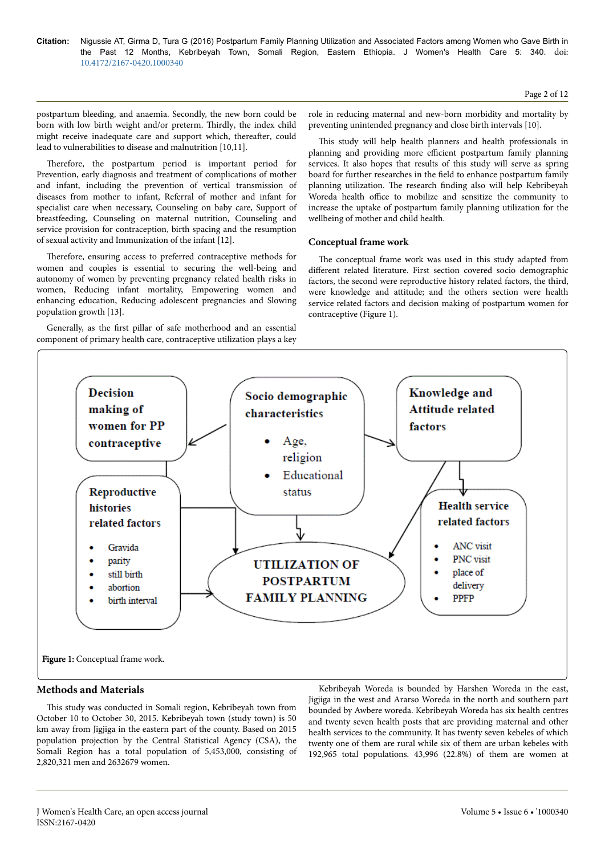postpartum bleeding, and anaemia. Secondly, the new born could be born with low birth weight and/or preterm. Thirdly, the index child might receive inadequate care and support which, thereafter, could lead to vulnerabilities to disease and malnutrition [10,11].

Therefore, the postpartum period is important period for Prevention, early diagnosis and treatment of complications of mother and infant, including the prevention of vertical transmission of diseases from mother to infant, Referral of mother and infant for specialist care when necessary, Counseling on baby care, Support of breastfeeding, Counseling on maternal nutrition, Counseling and service provision for contraception, birth spacing and the resumption of sexual activity and Immunization of the infant [12].

Therefore, ensuring access to preferred contraceptive methods for women and couples is essential to securing the well-being and autonomy of women by preventing pregnancy related health risks in women, Reducing infant mortality, Empowering women and enhancing education, Reducing adolescent pregnancies and Slowing population growth [13].

Generally, as the first pillar of safe motherhood and an essential component of primary health care, contraceptive utilization plays a key role in reducing maternal and new-born morbidity and mortality by preventing unintended pregnancy and close birth intervals [10].

This study will help health planners and health professionals in planning and providing more efficient postpartum family planning services. It also hopes that results of this study will serve as spring board for further researches in the field to enhance postpartum family planning utilization. Нe research finding also will help Kebribeyah Woreda health office to mobilize and sensitize the community to increase the uptake of postpartum family planning utilization for the wellbeing of mother and child health.

#### **Conceptual frame work**

The conceptual frame work was used in this study adapted from different related literature. First section covered socio demographic factors, the second were reproductive history related factors, the third, were knowledge and attitude; and the others section were health service related factors and decision making of postpartum women for contraceptive (Figure 1).



# **Methods and Materials**

This study was conducted in Somali region, Kebribeyah town from October 10 to October 30, 2015. Kebribeyah town (study town) is 50 km away from Jigjiga in the eastern part of the county. Based on 2015 population projection by the Central Statistical Agency (CSA), the Somali Region has a total population of 5,453,000, consisting of 2,820,321 men and 2632679 women.

Kebribeyah Woreda is bounded by Harshen Woreda in the east, Jigjiga in the west and Ararso Woreda in the north and southern part bounded by Awbere woreda. Kebribeyah Woreda has six health centres and twenty seven health posts that are providing maternal and other health services to the community. It has twenty seven kebeles of which twenty one of them are rural while six of them are urban kebeles with 192,965 total populations. 43,996 (22.8%) of them are women at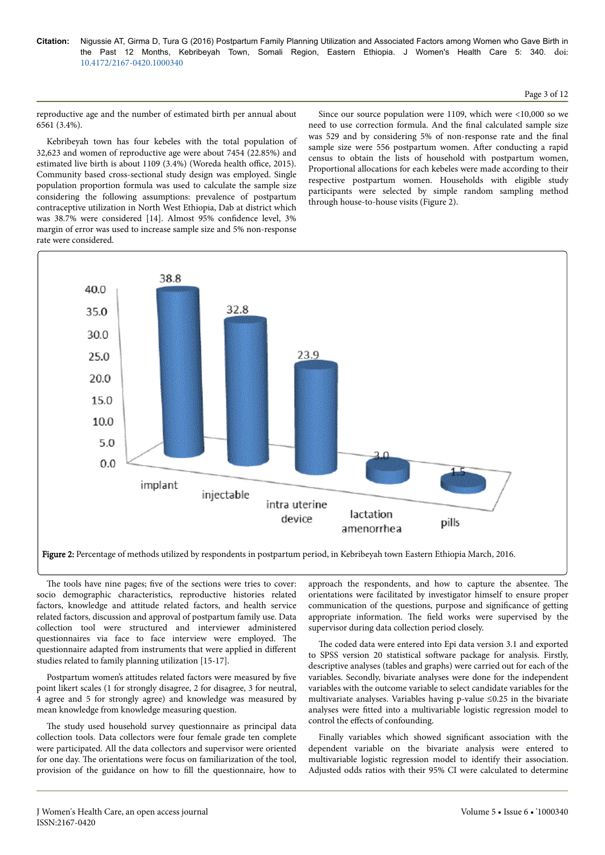#### Page 3 of 12

reproductive age and the number of estimated birth per annual about 6561 (3.4%).

Kebribeyah town has four kebeles with the total population of 32,623 and women of reproductive age were about 7454 (22.85%) and estimated live birth is about 1109 (3.4%) (Woreda health office, 2015). Community based cross-sectional study design was employed. Single population proportion formula was used to calculate the sample size considering the following assumptions: prevalence of postpartum contraceptive utilization in North West Ethiopia, Dab at district which was 38.7% were considered [14]. Almost 95% confidence level, 3% margin of error was used to increase sample size and 5% non-response rate were considered.

Since our source population were 1109, which were <10,000 so we need to use correction formula. And the final calculated sample size was 529 and by considering 5% of non-response rate and the final sample size were 556 postpartum women. After conducting a rapid census to obtain the lists of household with postpartum women, Proportional allocations for each kebeles were made according to their respective postpartum women. Households with eligible study participants were selected by simple random sampling method through house-to-house visits (Figure 2).



Figure 2: Percentage of methods utilized by respondents in postpartum period, in Kebribeyah town Eastern Ethiopia March, 2016.

The tools have nine pages; five of the sections were tries to cover: socio demographic characteristics, reproductive histories related factors, knowledge and attitude related factors, and health service related factors, discussion and approval of postpartum family use. Data collection tool were structured and interviewer administered questionnaires via face to face interview were employed. Нe questionnaire adapted from instruments that were applied in different studies related to family planning utilization [15-17].

Postpartum women's attitudes related factors were measured by five point likert scales (1 for strongly disagree, 2 for disagree, 3 for neutral, 4 agree and 5 for strongly agree) and knowledge was measured by mean knowledge from knowledge measuring question.

The study used household survey questionnaire as principal data collection tools. Data collectors were four female grade ten complete were participated. All the data collectors and supervisor were oriented for one day. Нe orientations were focus on familiarization of the tool, provision of the guidance on how to fill the questionnaire, how to

approach the respondents, and how to capture the absentee. Нe orientations were facilitated by investigator himself to ensure proper communication of the questions, purpose and significance of getting appropriate information. The field works were supervised by the supervisor during data collection period closely.

The coded data were entered into Epi data version 3.1 and exported to SPSS version 20 statistical software package for analysis. Firstly, descriptive analyses (tables and graphs) were carried out for each of the variables. Secondly, bivariate analyses were done for the independent variables with the outcome variable to select candidate variables for the multivariate analyses. Variables having p-value ≤0.25 in the bivariate analyses were fitted into a multivariable logistic regression model to control the effects of confounding.

Finally variables which showed significant association with the dependent variable on the bivariate analysis were entered to multivariable logistic regression model to identify their association. Adjusted odds ratios with their 95% CI were calculated to determine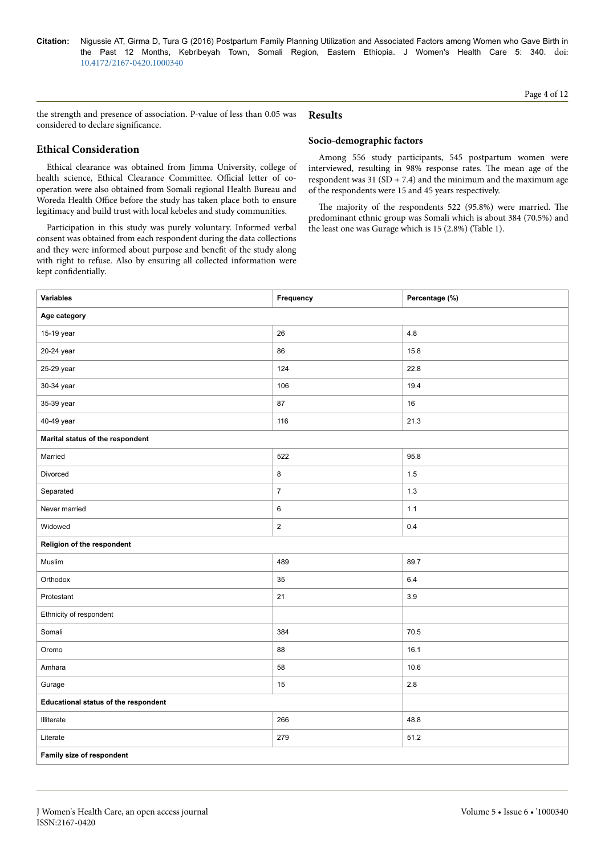Page 4 of 12

the strength and presence of association. P-value of less than 0.05 was considered to declare significance

# **Results**

# **Ethical Consideration**

Ethical clearance was obtained from Jimma University, college of health science, Ethical Clearance Committee. Official letter of cooperation were also obtained from Somali regional Health Bureau and Woreda Health Office before the study has taken place both to ensure legitimacy and build trust with local kebeles and study communities.

Participation in this study was purely voluntary. Informed verbal consent was obtained from each respondent during the data collections and they were informed about purpose and benefit of the study along with right to refuse. Also by ensuring all collected information were kept confidentially.

# **Socio-demographic factors**

Among 556 study participants, 545 postpartum women were interviewed, resulting in 98% response rates. Нe mean age of the respondent was  $31 (SD + 7.4)$  and the minimum and the maximum age of the respondents were 15 and 45 years respectively.

The majority of the respondents 522 (95.8%) were married. The predominant ethnic group was Somali which is about 384 (70.5%) and the least one was Gurage which is 15 (2.8%) (Table 1).

| Variables                            | Frequency               | Percentage (%) |  |  |  |  |  |
|--------------------------------------|-------------------------|----------------|--|--|--|--|--|
| Age category                         |                         |                |  |  |  |  |  |
| 15-19 year                           | 26                      | 4.8            |  |  |  |  |  |
| 20-24 year                           | 86                      | 15.8           |  |  |  |  |  |
| 25-29 year                           | 124                     | 22.8           |  |  |  |  |  |
| 30-34 year                           | 106                     | 19.4           |  |  |  |  |  |
| 35-39 year                           | 87                      | 16             |  |  |  |  |  |
| 40-49 year                           | 116                     | 21.3           |  |  |  |  |  |
| Marital status of the respondent     |                         |                |  |  |  |  |  |
| Married                              | 522                     | 95.8           |  |  |  |  |  |
| Divorced                             | 8                       | $1.5\,$        |  |  |  |  |  |
| Separated                            | $\overline{7}$          | $1.3$          |  |  |  |  |  |
| Never married                        | 6                       | 1.1            |  |  |  |  |  |
| Widowed                              | $\overline{\mathbf{c}}$ | $0.4\,$        |  |  |  |  |  |
| Religion of the respondent           |                         |                |  |  |  |  |  |
| Muslim                               | 489                     | 89.7           |  |  |  |  |  |
| Orthodox                             | 35                      | $6.4\,$        |  |  |  |  |  |
| Protestant                           | 21                      | $3.9\,$        |  |  |  |  |  |
| Ethnicity of respondent              |                         |                |  |  |  |  |  |
| Somali                               | 384                     | 70.5           |  |  |  |  |  |
| Oromo                                | 88                      | 16.1           |  |  |  |  |  |
| Amhara                               | 58                      | 10.6           |  |  |  |  |  |
| Gurage                               | 15                      | $2.8\,$        |  |  |  |  |  |
| Educational status of the respondent |                         |                |  |  |  |  |  |
| Illiterate                           | 266                     | 48.8           |  |  |  |  |  |
| Literate                             | 279                     | 51.2           |  |  |  |  |  |
| Family size of respondent            |                         |                |  |  |  |  |  |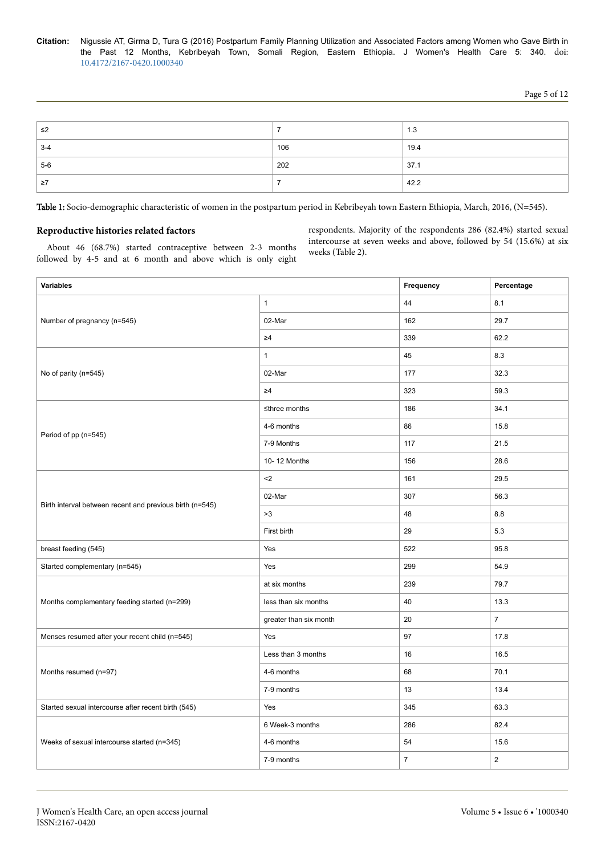Page 5 of 12

| ≤2    |     | 1.3  |
|-------|-----|------|
| $3-4$ | 106 | 19.4 |
| $5-6$ | 202 | 37.1 |
| 27    |     | 42.2 |

Table 1: Socio-demographic characteristic of women in the postpartum period in Kebribeyah town Eastern Ethiopia, March, 2016, (N=545).

# **Reproductive histories related factors**

About 46 (68.7%) started contraceptive between 2-3 months followed by 4-5 and at 6 month and above which is only eight respondents. Majority of the respondents 286 (82.4%) started sexual intercourse at seven weeks and above, followed by 54 (15.6%) at six weeks (Table 2).

| <b>Variables</b>                                         | Frequency              | Percentage     |                |
|----------------------------------------------------------|------------------------|----------------|----------------|
|                                                          | $\mathbf{1}$           | 44             | 8.1            |
| Number of pregnancy (n=545)                              | 02-Mar                 | 162            | 29.7           |
|                                                          | $\geq 4$               | 339            | 62.2           |
|                                                          | $\mathbf{1}$           | 45             | 8.3            |
| No of parity (n=545)                                     | 02-Mar                 | 177            | 32.3           |
|                                                          | $\geq 4$               | 323            | 59.3           |
|                                                          | ≤three months          | 186            | 34.1           |
| Period of pp (n=545)                                     | 4-6 months             | 86             | 15.8           |
|                                                          | 7-9 Months             | 117            | 21.5           |
|                                                          | 10-12 Months           | 156            | 28.6           |
|                                                          | $2$                    | 161            | 29.5           |
|                                                          | 02-Mar                 | 307            | 56.3           |
| Birth interval between recent and previous birth (n=545) | >3                     | 48             | 8.8            |
|                                                          | First birth            | 29             | 5.3            |
| breast feeding (545)                                     | Yes                    | 522            | 95.8           |
| Started complementary (n=545)                            | Yes                    | 299            | 54.9           |
|                                                          | at six months          | 239            | 79.7           |
| Months complementary feeding started (n=299)             | less than six months   | 40             | 13.3           |
|                                                          | greater than six month | 20             | $\overline{7}$ |
| Menses resumed after your recent child (n=545)           | Yes                    | 97             | 17.8           |
|                                                          | Less than 3 months     | 16             | 16.5           |
| Months resumed (n=97)                                    | 4-6 months             | 68             | 70.1           |
|                                                          | 7-9 months             | 13             | 13.4           |
| Started sexual intercourse after recent birth (545)      | Yes                    | 345            | 63.3           |
|                                                          | 6 Week-3 months        | 286            | 82.4           |
| Weeks of sexual intercourse started (n=345)              | 4-6 months             | 54             | 15.6           |
|                                                          | 7-9 months             | $\overline{7}$ | $\overline{2}$ |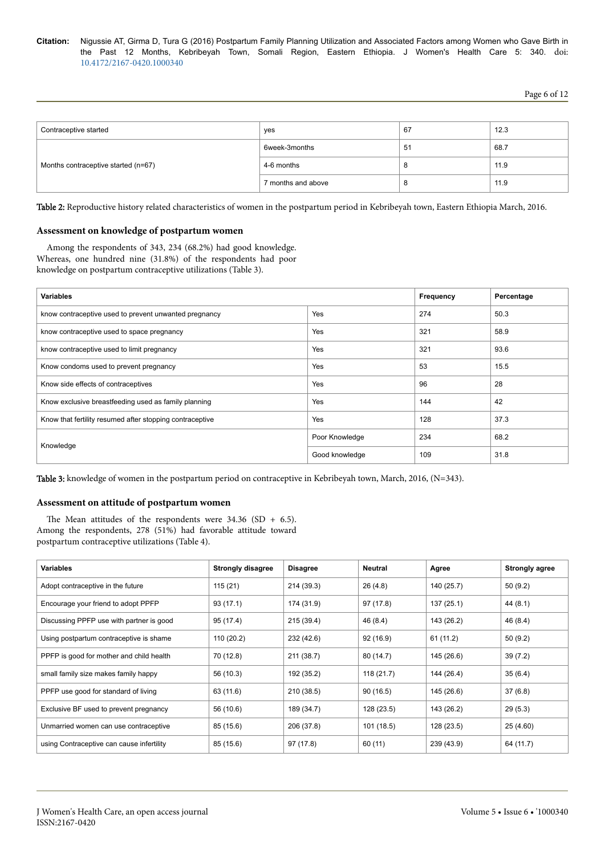Page 6 of 12

| Contraceptive started               | yes                | 67 | 12.3 |
|-------------------------------------|--------------------|----|------|
| Months contraceptive started (n=67) | 6week-3months      | 51 | 68.7 |
|                                     | 4-6 months         | 8  | 11.9 |
|                                     | 7 months and above | 8  | 11.9 |

Table 2: Reproductive history related characteristics of women in the postpartum period in Kebribeyah town, Eastern Ethiopia March, 2016.

## **Assessment on knowledge of postpartum women**

Among the respondents of 343, 234 (68.2%) had good knowledge. Whereas, one hundred nine (31.8%) of the respondents had poor knowledge on postpartum contraceptive utilizations (Table 3).

| <b>Variables</b>                                         | Frequency      | Percentage |      |
|----------------------------------------------------------|----------------|------------|------|
| know contraceptive used to prevent unwanted pregnancy    | Yes            | 274        | 50.3 |
| know contraceptive used to space pregnancy               | Yes            | 321        | 58.9 |
| know contraceptive used to limit pregnancy               | Yes            | 321        | 93.6 |
| Know condoms used to prevent pregnancy                   | Yes            | 53         | 15.5 |
| Know side effects of contraceptives                      | Yes            | 96         | 28   |
| Know exclusive breastfeeding used as family planning     | Yes            | 144        | 42   |
| Know that fertility resumed after stopping contraceptive | Yes            | 128        | 37.3 |
| Knowledge                                                | Poor Knowledge | 234        | 68.2 |
|                                                          | Good knowledge | 109        | 31.8 |

Table 3: knowledge of women in the postpartum period on contraceptive in Kebribeyah town, March, 2016, (N=343).

### **Assessment on attitude of postpartum women**

The Mean attitudes of the respondents were  $34.36$  (SD + 6.5). Among the respondents, 278 (51%) had favorable attitude toward postpartum contraceptive utilizations (Table 4).

| <b>Variables</b>                          | <b>Strongly disagree</b> | <b>Disagree</b> | Neutral    | Agree      | <b>Strongly agree</b> |
|-------------------------------------------|--------------------------|-----------------|------------|------------|-----------------------|
| Adopt contraceptive in the future         | 115(21)                  | 214 (39.3)      | 26(4.8)    | 140 (25.7) | 50(9.2)               |
| Encourage your friend to adopt PPFP       | 93(17.1)                 | 174 (31.9)      | 97 (17.8)  | 137(25.1)  | 44(8.1)               |
| Discussing PPFP use with partner is good  | 95 (17.4)                | 215 (39.4)      | 46 (8.4)   | 143 (26.2) | 46 (8.4)              |
| Using postpartum contraceptive is shame   | 110 (20.2)               | 232 (42.6)      | 92 (16.9)  | 61 (11.2)  | 50(9.2)               |
| PPFP is good for mother and child health  | 70 (12.8)                | 211 (38.7)      | 80 (14.7)  | 145 (26.6) | 39(7.2)               |
| small family size makes family happy      | 56 (10.3)                | 192 (35.2)      | 118(21.7)  | 144 (26.4) | 35(6.4)               |
| PPFP use good for standard of living      | 63 (11.6)                | 210 (38.5)      | 90(16.5)   | 145 (26.6) | 37(6.8)               |
| Exclusive BF used to prevent pregnancy    | 56 (10.6)                | 189 (34.7)      | 128 (23.5) | 143 (26.2) | 29(5.3)               |
| Unmarried women can use contraceptive     | 85 (15.6)                | 206 (37.8)      | 101 (18.5) | 128 (23.5) | 25 (4.60)             |
| using Contraceptive can cause infertility | 85 (15.6)                | 97 (17.8)       | 60 (11)    | 239 (43.9) | 64 (11.7)             |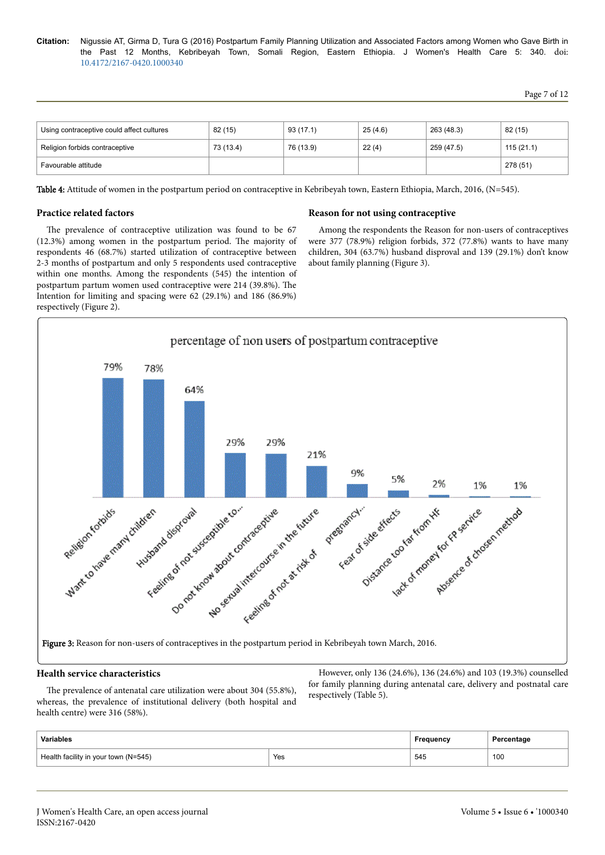Page 7 of 12

| Using contraceptive could affect cultures | 82 (15)   | 93(17.1)  | 25(4.6) | 263 (48.3) | 82 (15)   |
|-------------------------------------------|-----------|-----------|---------|------------|-----------|
| Religion forbids contraceptive            | 73 (13.4) | 76 (13.9) | 22(4)   | 259 (47.5) | 115(21.1) |
| Favourable attitude                       |           |           |         |            | 278 (51)  |

Table 4: Attitude of women in the postpartum period on contraceptive in Kebribeyah town, Eastern Ethiopia, March, 2016, (N=545).

#### **Practice related factors**

#### **Reason for not using contraceptive**

The prevalence of contraceptive utilization was found to be 67 (12.3%) among women in the postpartum period. Нe majority of respondents 46 (68.7%) started utilization of contraceptive between 2-3 months of postpartum and only 5 respondents used contraceptive within one months. Among the respondents (545) the intention of postpartum partum women used contraceptive were 214 (39.8%). Нe Intention for limiting and spacing were 62 (29.1%) and 186 (86.9%) respectively (Figure 2).

Among the respondents the Reason for non-users of contraceptives were 377 (78.9%) religion forbids, 372 (77.8%) wants to have many children, 304 (63.7%) husband disproval and 139 (29.1%) don't know about family planning (Figure 3).



#### **Health service characteristics**

The prevalence of antenatal care utilization were about 304 (55.8%), whereas, the prevalence of institutional delivery (both hospital and health centre) were 316 (58%).

However, only 136 (24.6%), 136 (24.6%) and 103 (19.3%) counselled for family planning during antenatal care, delivery and postnatal care respectively (Table 5).

| <b>Variables</b>                     | Freauencv | Percentage |     |
|--------------------------------------|-----------|------------|-----|
| Health facility in your town (N=545) | Yes       | 545        | 100 |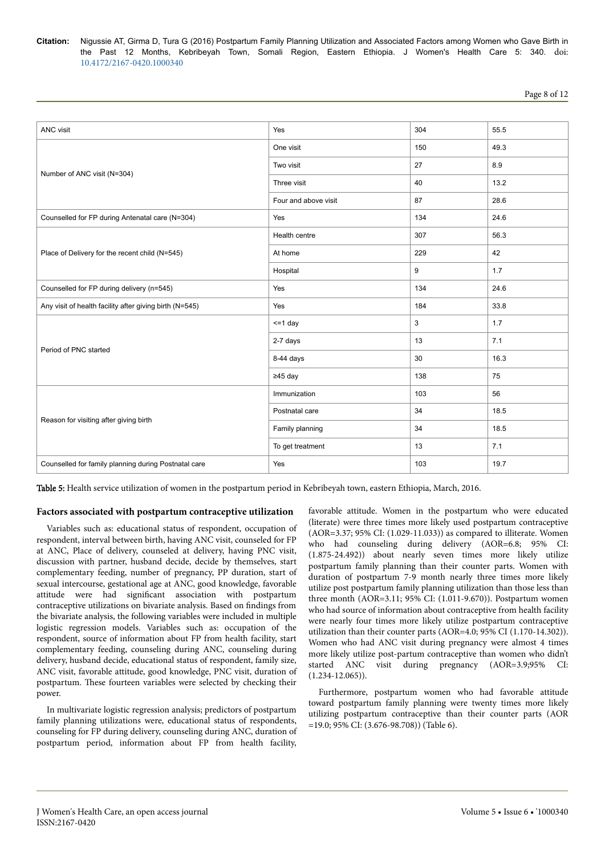Page 8 of 12

| ANC visit                                               | Yes                  | 304 | 55.5 |
|---------------------------------------------------------|----------------------|-----|------|
|                                                         | One visit            | 150 | 49.3 |
| Number of ANC visit (N=304)                             | Two visit            | 27  | 8.9  |
|                                                         | Three visit          | 40  | 13.2 |
|                                                         | Four and above visit | 87  | 28.6 |
| Counselled for FP during Antenatal care (N=304)         | Yes                  | 134 | 24.6 |
| Place of Delivery for the recent child (N=545)          | Health centre        | 307 | 56.3 |
|                                                         | At home              | 229 | 42   |
|                                                         | Hospital             | 9   | 1.7  |
| Counselled for FP during delivery (n=545)               | Yes                  | 134 | 24.6 |
| Any visit of health facility after giving birth (N=545) | Yes                  | 184 | 33.8 |
|                                                         | $=1$ day             | 3   | 1.7  |
| Period of PNC started                                   | 2-7 days             | 13  | 7.1  |
|                                                         | 8-44 days            | 30  | 16.3 |
|                                                         | ≥45 day              | 138 | 75   |
|                                                         | Immunization         | 103 | 56   |
|                                                         | Postnatal care       | 34  | 18.5 |
| Reason for visiting after giving birth                  | Family planning      | 34  | 18.5 |
|                                                         | To get treatment     | 13  | 7.1  |
| Counselled for family planning during Postnatal care    | Yes                  | 103 | 19.7 |

Table 5: Health service utilization of women in the postpartum period in Kebribeyah town, eastern Ethiopia, March, 2016.

#### **Factors associated with postpartum contraceptive utilization**

Variables such as: educational status of respondent, occupation of respondent, interval between birth, having ANC visit, counseled for FP at ANC, Place of delivery, counseled at delivery, having PNC visit, discussion with partner, husband decide, decide by themselves, start complementary feeding, number of pregnancy, PP duration, start of sexual intercourse, gestational age at ANC, good knowledge, favorable attitude were had significant association with postpartum contraceptive utilizations on bivariate analysis. Based on findings from the bivariate analysis, the following variables were included in multiple logistic regression models. Variables such as: occupation of the respondent, source of information about FP from health facility, start complementary feeding, counseling during ANC, counseling during delivery, husband decide, educational status of respondent, family size, ANC visit, favorable attitude, good knowledge, PNC visit, duration of postpartum. Нese fourteen variables were selected by checking their power.

In multivariate logistic regression analysis; predictors of postpartum family planning utilizations were, educational status of respondents, counseling for FP during delivery, counseling during ANC, duration of postpartum period, information about FP from health facility,

favorable attitude. Women in the postpartum who were educated (literate) were three times more likely used postpartum contraceptive (AOR=3.37; 95% CI: (1.029-11.033)) as compared to illiterate. Women who had counseling during delivery (AOR=6.8; 95% CI: (1.875-24.492)) about nearly seven times more likely utilize postpartum family planning than their counter parts. Women with duration of postpartum 7-9 month nearly three times more likely utilize post postpartum family planning utilization than those less than three month (AOR=3.11; 95% CI: (1.011-9.670)). Postpartum women who had source of information about contraceptive from health facility were nearly four times more likely utilize postpartum contraceptive utilization than their counter parts (AOR=4.0; 95% CI (1.170-14.302)). Women who had ANC visit during pregnancy were almost 4 times more likely utilize post-partum contraceptive than women who didn't started ANC visit during pregnancy (AOR=3.9;95% CI:  $(1.234 - 12.065)$ ).

Furthermore, postpartum women who had favorable attitude toward postpartum family planning were twenty times more likely utilizing postpartum contraceptive than their counter parts (AOR =19.0; 95% CI: (3.676-98.708)) (Table 6).

J Women's Health Care, an open access journal ISSN:2167-0420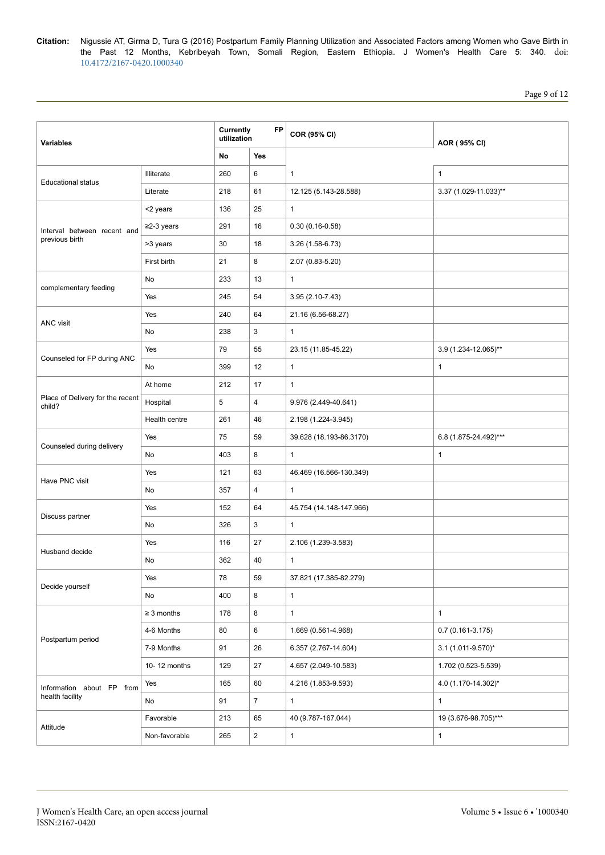Page 9 of 12

| <b>Variables</b>                           |                  | Currently<br><b>FP</b><br>utilization |                | COR (95% CI)            | AOR (95% CI)          |  |
|--------------------------------------------|------------------|---------------------------------------|----------------|-------------------------|-----------------------|--|
|                                            |                  | No                                    | <b>Yes</b>     |                         |                       |  |
|                                            | Illiterate       | 260                                   | 6              | $\mathbf{1}$            | $\mathbf{1}$          |  |
| <b>Educational status</b>                  | Literate         | 218                                   | 61             | 12.125 (5.143-28.588)   | 3.37 (1.029-11.033)** |  |
|                                            | <2 years         | 136                                   | 25             | $\mathbf{1}$            |                       |  |
| Interval between recent and                | $\geq$ 2-3 years | 291                                   | 16             | $0.30(0.16-0.58)$       |                       |  |
| previous birth                             | >3 years         | 30                                    | 18             | 3.26 (1.58-6.73)        |                       |  |
|                                            | First birth      | 21                                    | 8              | 2.07 (0.83-5.20)        |                       |  |
|                                            | No               | 233                                   | 13             | $\mathbf{1}$            |                       |  |
| complementary feeding                      | Yes              | 245                                   | 54             | $3.95(2.10-7.43)$       |                       |  |
|                                            | Yes              | 240                                   | 64             | 21.16 (6.56-68.27)      |                       |  |
| <b>ANC visit</b>                           | No               | 238                                   | 3              | $\mathbf{1}$            |                       |  |
|                                            | Yes              | 79                                    | 55             | 23.15 (11.85-45.22)     | 3.9 (1.234-12.065)**  |  |
| Counseled for FP during ANC                | No               | 399                                   | 12             | $\mathbf{1}$            | $\mathbf{1}$          |  |
|                                            | At home          | 212                                   | 17             | $\mathbf{1}$            |                       |  |
| Place of Delivery for the recent<br>child? | Hospital         | 5                                     | $\overline{4}$ | 9.976 (2.449-40.641)    |                       |  |
|                                            | Health centre    | 261                                   | 46             | 2.198 (1.224-3.945)     |                       |  |
|                                            | Yes              | 75                                    | 59             | 39.628 (18.193-86.3170) | 6.8 (1.875-24.492)*** |  |
| Counseled during delivery                  | No               | 403                                   | 8              | $\mathbf{1}$            | $\mathbf{1}$          |  |
|                                            | Yes              | 121                                   | 63             | 46.469 (16.566-130.349) |                       |  |
| Have PNC visit                             | No               | 357                                   | $\overline{4}$ | $\mathbf{1}$            |                       |  |
|                                            | Yes              | 152                                   | 64             | 45.754 (14.148-147.966) |                       |  |
| Discuss partner                            | No               | 326                                   | 3              | $\mathbf{1}$            |                       |  |
|                                            | Yes              | 116                                   | 27             | 2.106 (1.239-3.583)     |                       |  |
| Husband decide                             | No               | 362                                   | 40             | $\mathbf{1}$            |                       |  |
|                                            | Yes              | 78                                    | 59             | 37.821 (17.385-82.279)  |                       |  |
| Decide yourself                            | No               | 400                                   | 8              | $\mathbf{1}$            |                       |  |
|                                            | $\geq$ 3 months  | 178                                   | 8              | $\mathbf{1}$            | $\mathbf{1}$          |  |
|                                            | 4-6 Months       | 80                                    | 6              | 1.669 (0.561-4.968)     | $0.7(0.161 - 3.175)$  |  |
| Postpartum period                          | 7-9 Months       | 91                                    | 26             | 6.357 (2.767-14.604)    | 3.1 (1.011-9.570)*    |  |
|                                            | 10-12 months     | 129                                   | 27             | 4.657 (2.049-10.583)    | 1.702 (0.523-5.539)   |  |
| Information about FP from                  | Yes              | 165                                   | 60             | 4.216 (1.853-9.593)     | 4.0 (1.170-14.302)*   |  |
| health facility                            | No               | 91                                    | $\overline{7}$ | $\mathbf{1}$            | $\mathbf{1}$          |  |
|                                            | Favorable        | 213                                   | 65             | 40 (9.787-167.044)      | 19 (3.676-98.705)***  |  |
| Attitude                                   | Non-favorable    | 265                                   | $\overline{2}$ | $\mathbf{1}$            | $\mathbf{1}$          |  |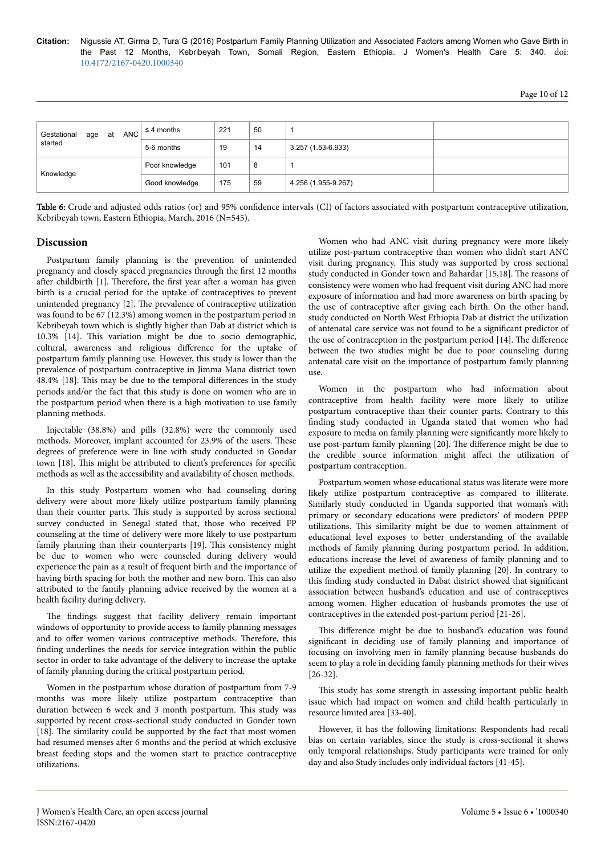| ANC<br>Gestational<br>age<br>at | $\leq$ 4 months | 221 | 50                 |                     |  |
|---------------------------------|-----------------|-----|--------------------|---------------------|--|
| started<br>5-6 months           | 19              | 14  | 3.257 (1.53-6.933) |                     |  |
| Knowledge                       | Poor knowledge  | 101 | 8                  |                     |  |
|                                 | Good knowledge  | 175 | 59                 | 4.256 (1.955-9.267) |  |

Table 6: Crude and adjusted odds ratios (or) and 95% confidence intervals (CI) of factors associated with postpartum contraceptive utilization, Kebribeyah town, Eastern Ethiopia, March, 2016 (N=545).

# **Discussion**

Postpartum family planning is the prevention of unintended pregnancy and closely spaced pregnancies through the first 12 months after childbirth [1]. Therefore, the first year after a woman has given birth is a crucial period for the uptake of contraceptives to prevent unintended pregnancy [2]. Нe prevalence of contraceptive utilization was found to be 67 (12.3%) among women in the postpartum period in Kebribeyah town which is slightly higher than Dab at district which is 10.3% [14]. Нis variation might be due to socio demographic, cultural, awareness and religious difference for the uptake of postpartum family planning use. However, this study is lower than the prevalence of postpartum contraceptive in Jimma Mana district town 48.4% [18]. This may be due to the temporal differences in the study periods and/or the fact that this study is done on women who are in the postpartum period when there is a high motivation to use family planning methods.

Injectable (38.8%) and pills (32.8%) were the commonly used methods. Moreover, implant accounted for 23.9% of the users. Нese degrees of preference were in line with study conducted in Gondar town [18]. Нis might be attributed to client's preferences for specific methods as well as the accessibility and availability of chosen methods.

In this study Postpartum women who had counseling during delivery were about more likely utilize postpartum family planning than their counter parts. Нis study is supported by across sectional survey conducted in Senegal stated that, those who received FP counseling at the time of delivery were more likely to use postpartum family planning than their counterparts [19]. Нis consistency might be due to women who were counseled during delivery would experience the pain as a result of frequent birth and the importance of having birth spacing for both the mother and new born. Нis can also attributed to the family planning advice received by the women at a health facility during delivery.

The findings suggest that facility delivery remain important windows of opportunity to provide access to family planning messages and to offer women various contraceptive methods. Therefore, this finding underlines the needs for service integration within the public sector in order to take advantage of the delivery to increase the uptake of family planning during the critical postpartum period.

Women in the postpartum whose duration of postpartum from 7-9 months was more likely utilize postpartum contraceptive than duration between 6 week and 3 month postpartum. Нis study was supported by recent cross-sectional study conducted in Gonder town [18]. Нe similarity could be supported by the fact that most women had resumed menses after 6 months and the period at which exclusive breast feeding stops and the women start to practice contraceptive utilizations.

Women who had ANC visit during pregnancy were more likely utilize post-partum contraceptive than women who didn't start ANC visit during pregnancy. Нis study was supported by cross sectional study conducted in Gonder town and Bahardar [15,18]. Нe reasons of consistency were women who had frequent visit during ANC had more exposure of information and had more awareness on birth spacing by the use of contraceptive after giving each birth. On the other hand, study conducted on North West Ethiopia Dab at district the utilization of antenatal care service was not found to be a significant predictor of the use of contraception in the postpartum period [14]. The difference between the two studies might be due to poor counseling during antenatal care visit on the importance of postpartum family planning use.

Women in the postpartum who had information about contraceptive from health facility were more likely to utilize postpartum contraceptive than their counter parts. Contrary to this finding study conducted in Uganda stated that women who had exposure to media on family planning were significantly more likely to use post-partum family planning [20]. The difference might be due to the credible source information might affect the utilization of postpartum contraception.

Postpartum women whose educational status was literate were more likely utilize postpartum contraceptive as compared to illiterate. Similarly study conducted in Uganda supported that woman's with primary or secondary educations were predictors' of modern PPFP utilizations. Нis similarity might be due to women attainment of educational level exposes to better understanding of the available methods of family planning during postpartum period. In addition, educations increase the level of awareness of family planning and to utilize the expedient method of family planning [20]. In contrary to this finding study conducted in Dabat district showed that significant association between husband's education and use of contraceptives among women. Higher education of husbands promotes the use of contraceptives in the extended post-partum period [21-26].

This difference might be due to husband's education was found significant in deciding use of family planning and importance of focusing on involving men in family planning because husbands do seem to play a role in deciding family planning methods for their wives [26-32].

This study has some strength in assessing important public health issue which had impact on women and child health particularly in resource limited area [33-40].

However, it has the following limitations: Respondents had recall bias on certain variables, since the study is cross-sectional it shows only temporal relationships. Study participants were trained for only day and also Study includes only individual factors [41-45].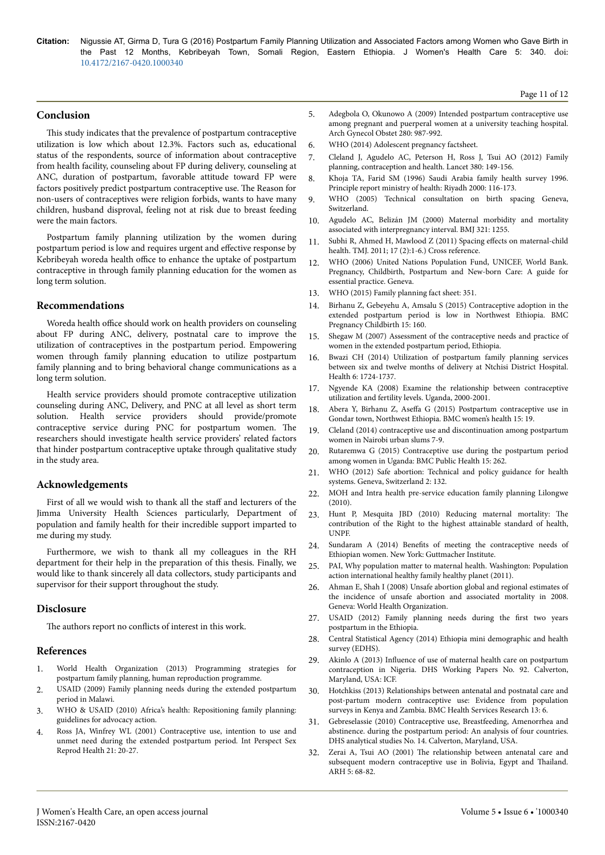## **Conclusion**

This study indicates that the prevalence of postpartum contraceptive utilization is low which about 12.3%. Factors such as, educational status of the respondents, source of information about contraceptive from health facility, counseling about FP during delivery, counseling at ANC, duration of postpartum, favorable attitude toward FP were factors positively predict postpartum contraceptive use. Нe Reason for non-users of contraceptives were religion forbids, wants to have many children, husband disproval, feeling not at risk due to breast feeding were the main factors.

Postpartum family planning utilization by the women during postpartum period is low and requires urgent and effective response by Kebribeyah woreda health office to enhance the uptake of postpartum contraceptive in through family planning education for the women as long term solution.

## **Recommendations**

Woreda health office should work on health providers on counseling about FP during ANC, delivery, postnatal care to improve the utilization of contraceptives in the postpartum period. Empowering women through family planning education to utilize postpartum family planning and to bring behavioral change communications as a long term solution.

Health service providers should promote contraceptive utilization counseling during ANC, Delivery, and PNC at all level as short term solution. Health service providers should provide/promote contraceptive service during PNC for postpartum women. Нe researchers should investigate health service providers' related factors that hinder postpartum contraceptive uptake through qualitative study in the study area.

# **Acknowledgements**

First of all we would wish to thank all the staff and lecturers of the Jimma University Health Sciences particularly, Department of population and family health for their incredible support imparted to me during my study.

Furthermore, we wish to thank all my colleagues in the RH department for their help in the preparation of this thesis. Finally, we would like to thank sincerely all data collectors, study participants and supervisor for their support throughout the study.

# **Disclosure**

The authors report no conflicts of interest in this work.

#### **References**

- 1. [World Health Organization \(2013\) Programming strategies for](http://apps.who.int/iris/bitstream/10665/93680/1/9789241506496_eng.pdf) [postpartum family planning, human reproduction programme.](http://apps.who.int/iris/bitstream/10665/93680/1/9789241506496_eng.pdf)
- 2. [USAID \(2009\) Family planning needs during the extended postpartum](file:///C:/Users/vahini-k/Desktop/JWHC/Manuscripts/2016/November/Processing/2167-0420-5-340%20(1551)/Family%20Planning%20Needs%20during%20the%20Extended%20Postpartum%20Period%20in%20Malawi,%202009) [period in Malawi.](file:///C:/Users/vahini-k/Desktop/JWHC/Manuscripts/2016/November/Processing/2167-0420-5-340%20(1551)/Family%20Planning%20Needs%20during%20the%20Extended%20Postpartum%20Period%20in%20Malawi,%202009)
- 3. [WHO & USAID \(2010\) Africa's health: Repositioning family planning:](http://africahealth2010.aed.org/PDF/RFP_English.pdf) [guidelines for advocacy action.](http://africahealth2010.aed.org/PDF/RFP_English.pdf)
- 4. [Ross JA, Winfrey WL \(2001\) Contraceptive use, intention to use and](https://www.guttmacher.org/about/journals/ipsrh/2001/03/contraceptive-use-intention-use-and-unmet-need-during-extended) [unmet need during the extended postpartum period. Int Perspect Sex](https://www.guttmacher.org/about/journals/ipsrh/2001/03/contraceptive-use-intention-use-and-unmet-need-during-extended) [Reprod Health 21: 20-27.](https://www.guttmacher.org/about/journals/ipsrh/2001/03/contraceptive-use-intention-use-and-unmet-need-during-extended)
- 5. [Adegbola O, Okunowo A \(2009\) Intended postpartum contraceptive use](https://dx.doi.org/10.1007/s00404-009-1056-6) [among pregnant and puerperal women at a university teaching hospital.](https://dx.doi.org/10.1007/s00404-009-1056-6) [Arch Gynecol Obstet 280: 987-992.](https://dx.doi.org/10.1007/s00404-009-1056-6)
- 6. [WHO \(2014\) Adolescent pregnancy factsheet.](http://www.who.int/mediacentre/factsheets/fs364/en/)
- 7. [Cleland J, Agudelo AC, Peterson H, Ross J, Tsui AO \(2012\) Family](https://dx.doi.org/10.1016/S0140-6736(12)60609-6) [planning, contraception and health. Lancet 380: 149-156.](https://dx.doi.org/10.1016/S0140-6736(12)60609-6)
- 8. Khoja TA, Farid SM (1996) Saudi Arabia family health survey 1996. Principle report ministry of health: Riyadh 2000: 116-173.
- 9. WHO (2005) Technical consultation on birth spacing Geneva, Switzerland.
- 10. Agudelo AC, Belizán JM (2000) Maternal morbidity and mortality associated with interpregnancy interval. BMJ 321: 1255.
- 11 Subhi R, Ahmed H, Mawlood Z (2011) Spacing effects on maternal-child health. TMJ. 2011; 17 (2):1-6.) Cross reference.
- 12. WHO (2006) United Nations Population Fund, UNICEF, World Bank. Pregnancy, Childbirth, Postpartum and New-born Care: A guide for essential practice. Geneva.
- 13. [WHO \(2015\) Family planning fact sheet: 351.](http://www.who.int/mediacentre/factsheets/fs351/en/)
- 14. [Birhanu Z, Gebeyehu A, Amsalu S \(2015\) Contraceptive adoption in the](http://dx.doi.org/10.1186/s12884-015-0598-9) [extended postpartum period is low in Northwest Ethiopia. BMC](http://dx.doi.org/10.1186/s12884-015-0598-9) [Pregnancy Childbirth 15: 160.](http://dx.doi.org/10.1186/s12884-015-0598-9)
- 15. Shegaw M (2007) Assessment of the contraceptive needs and practice of women in the extended postpartum period, Ethiopia.
- 16. Bwazi CH (2014) Utilization of postpartum family planning services between six and twelve months of delivery at Ntchisi District Hospital. Health 6: 1724-1737.
- 17. Ngyende KA (2008) Examine the relationship between contraceptive utilization and fertility levels. Uganda, 2000-2001.
- 18. Abera Y, Birhanu Z, Aseffa [G \(2015\) Postpartum contraceptive use in](http://dx.doi.org/10.1186/s12905-015-0178-1) [Gondar town, Northwest Ethiopia. BMC women's health 15: 19.](http://dx.doi.org/10.1186/s12905-015-0178-1)
- 19. Cleland (2014) contraceptive use and discontinuation among postpartum women in Nairobi urban slums 7-9.
- 20. [Rutaremwa G \(2015\) Contraceptive use during the postpartum period](http://dx.doi.org/10.1186/s12889-015-1611-y) [among women in Uganda: BMC Public Health 15: 262.](http://dx.doi.org/10.1186/s12889-015-1611-y)
- 21. [WHO \(2012\) Safe abortion: Technical and policy guidance for health](http://www.who.int/reproductivehealth/publications/unsafe_abortion/9789241548434/en/) [systems. Geneva, Switzerland 2: 132.](http://www.who.int/reproductivehealth/publications/unsafe_abortion/9789241548434/en/)
- 22. MOH and Intra health pre-service education family planning Lilongwe (2010).
- 23. [Hunt P, Mesquita JBD \(2010\) Reducing maternal mortality:](http://www.unfpa.org/publications/reducing-maternal-mortality) Нe [contribution of the Right to the highest attainable standard of health,](http://www.unfpa.org/publications/reducing-maternal-mortality) [UNPF.](http://www.unfpa.org/publications/reducing-maternal-mortality)
- 24. Sundaram A (2014) Benefits of meeting the contraceptive needs of Ethiopian women. New York: Guttmacher Institute.
- 25. [PAI, Why population matter to maternal health. Washington: Population](http://pai.org/wp-content/uploads/2012/02/PAI_1293-MATERNAL_compressed.pdf) [action international healthy family healthy planet \(2011\).](http://pai.org/wp-content/uploads/2012/02/PAI_1293-MATERNAL_compressed.pdf)
- 26. Ahman E, Shah I (2008) Unsafe abortion global and regional estimates of the incidence of unsafe abortion and associated mortality in 2008. Geneva: World Health Organization.
- 27. USAID (2012) Family planning needs during the first two years postpartum in the Ethiopia.
- 28. [Central Statistical Agency \(2014\) Ethiopia mini demographic and health](https://www.unicef.org/ethiopia/Mini_DHS_2014__Final_Report.pdf) [survey \(EDHS\).](https://www.unicef.org/ethiopia/Mini_DHS_2014__Final_Report.pdf)
- 29. Akinlo A (2013) Influence [of use of maternal health care on postpartum](https://dhsprogram.com/pubs/pdf/WP92/WP92.pdf) [contraception in Nigeria. DHS Working Papers No. 92. Calverton,](https://dhsprogram.com/pubs/pdf/WP92/WP92.pdf) [Maryland, USA: ICF.](https://dhsprogram.com/pubs/pdf/WP92/WP92.pdf)
- 30. [Hotchkiss \(2013\) Relationships between antenatal and postnatal care and](http://bmchealthservres.biomedcentral.com/articles/10.1186/1472-6963-13-6) [post-partum modern contraceptive use: Evidence from population](http://bmchealthservres.biomedcentral.com/articles/10.1186/1472-6963-13-6) [surveys in Kenya and Zambia. BMC Health Services Research 13: 6.](http://bmchealthservres.biomedcentral.com/articles/10.1186/1472-6963-13-6)
- 31. [Gebreselassie \(2010\) Contraceptive use, Breastfeeding, Amenorrhea and](http://pdf.usaid.gov/pdf_docs/PNADM646.pdf) [abstinence. during the postpartum period: An analysis of four countries.](http://pdf.usaid.gov/pdf_docs/PNADM646.pdf) [DHS analytical studies No. 14. Calverton, Maryland, USA.](http://pdf.usaid.gov/pdf_docs/PNADM646.pdf)
- 32. Zerai A, Tsui AO (2001) Нe relationship between antenatal care and subsequent modern contraceptive use in Bolivia, Egypt and Thailand. ARH 5: 68-82.